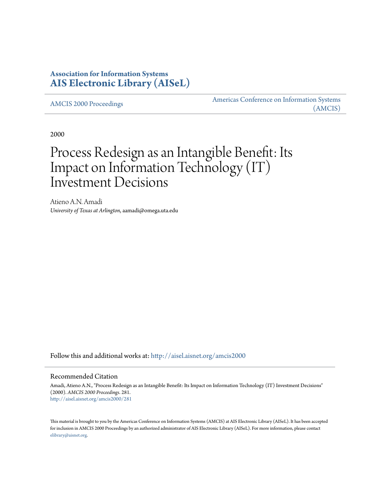## **Association for Information Systems [AIS Electronic Library \(AISeL\)](http://aisel.aisnet.org?utm_source=aisel.aisnet.org%2Famcis2000%2F281&utm_medium=PDF&utm_campaign=PDFCoverPages)**

[AMCIS 2000 Proceedings](http://aisel.aisnet.org/amcis2000?utm_source=aisel.aisnet.org%2Famcis2000%2F281&utm_medium=PDF&utm_campaign=PDFCoverPages)

[Americas Conference on Information Systems](http://aisel.aisnet.org/amcis?utm_source=aisel.aisnet.org%2Famcis2000%2F281&utm_medium=PDF&utm_campaign=PDFCoverPages) [\(AMCIS\)](http://aisel.aisnet.org/amcis?utm_source=aisel.aisnet.org%2Famcis2000%2F281&utm_medium=PDF&utm_campaign=PDFCoverPages)

2000

# Process Redesign as an Intangible Benefit: Its Impact on Information Technology (IT) Investment Decisions

Atieno A.N. Amadi *University of Texas at Arlington*, aamadi@omega.uta.edu

Follow this and additional works at: [http://aisel.aisnet.org/amcis2000](http://aisel.aisnet.org/amcis2000?utm_source=aisel.aisnet.org%2Famcis2000%2F281&utm_medium=PDF&utm_campaign=PDFCoverPages)

#### Recommended Citation

Amadi, Atieno A.N., "Process Redesign as an Intangible Benefit: Its Impact on Information Technology (IT) Investment Decisions" (2000). *AMCIS 2000 Proceedings*. 281. [http://aisel.aisnet.org/amcis2000/281](http://aisel.aisnet.org/amcis2000/281?utm_source=aisel.aisnet.org%2Famcis2000%2F281&utm_medium=PDF&utm_campaign=PDFCoverPages)

This material is brought to you by the Americas Conference on Information Systems (AMCIS) at AIS Electronic Library (AISeL). It has been accepted for inclusion in AMCIS 2000 Proceedings by an authorized administrator of AIS Electronic Library (AISeL). For more information, please contact [elibrary@aisnet.org.](mailto:elibrary@aisnet.org%3E)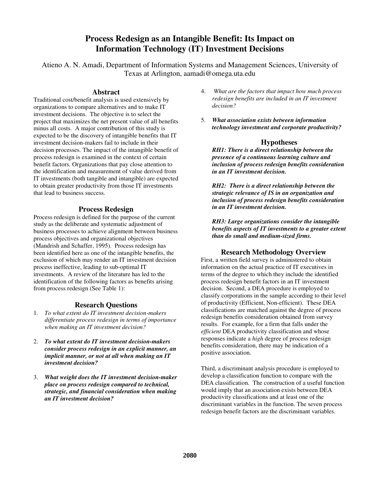## **Process Redesign as an Intangible Benefit: Its Impact on Information Technology (IT) Investment Decisions**

Atieno A. N. Amadi, Department of Information Systems and Management Sciences, University of Texas at Arlington, aamadi@omega.uta.edu

#### **Abstract**

Traditional cost/benefit analysis is used extensively by organizations to compare alternatives and to make IT investment decisions. The objective is to select the project that maximizes the net present value of all benefits minus all costs. A major contribution of this study is expected to be the discovery of intangible benefits that IT investment decision-makers fail to include in their decision processes. The impact of the intangible benefit of process redesign is examined in the context of certain benefit factors. Organizations that pay close attention to the identification and measurement of value derived from IT investments (both tangible and intangible) are expected to obtain greater productivity from those IT investments that lead to business success.

#### **Process Redesign**

Process redesign is defined for the purpose of the current study as the deliberate and systematic adjustment of business processes to achieve alignment between business process objectives and organizational objectives (Mandrish and Schaffer, 1995). Process redesign has been identified here as one of the intangible benefits, the exclusion of which may render an IT investment decision process ineffective, leading to sub-optimal IT investments. A review of the literature has led to the identification of the following factors as benefits arising from process redesign (See Table 1):

#### **Research Questions**

- 1. *To what extent do IT investment decision-makers differentiate process redesign in terms of importance when making an IT investment decision?*
- 2. *To what extent do IT investment decision-makers consider process redesign in an explicit manner, an implicit manner, or not at all when making an IT investment decision?*
- 3. *What weight does the IT investment decision-maker place on process redesign compared to technical, strategic, and financial consideration when making an IT investment decision?*
- 4. *What are the factors that impact how much process redesign benefits are included in an IT investment decision?*
- 5. *What association exists between information technology investment and corporate productivity?*

#### **Hypotheses**

*RH1: There is a direct relationship between the presence of a continuous learning culture and inclusion of process redesign benefits consideration in an IT investment decision.*

*RH2: There is a direct relationship between the strategic relevance of IS in an organization and inclusion of process redesign benefits consideration in an IT investment decision.*

*RH3: Large organizations consider the intangible benefits aspects of IT investments to a greater extent than do small and medium-sized firms.*

#### **Research Methodology Overview**

First, a written field survey is administered to obtain information on the actual practice of IT executives in terms of the degree to which they include the identified process redesign benefit factors in an IT investment decision. Second, a DEA procedure is employed to classify corporations in the sample according to their level of productivity (Efficient, Non-efficient). These DEA classifications are matched against the degree of process redesign benefits consideration obtained from survey results. For example, for a firm that falls under the *efficient* DEA productivity classification and whose responses indicate a *high* degree of process redesign benefits consideration, there may be indication of a positive association.

Third, a discriminant analysis procedure is employed to develop a classification function to compare with the DEA classification. The construction of a useful function would imply that an association exists between DEA productivity classifications and at least one of the discriminant variables in the function. The seven process redesign benefit factors are the discriminant variables.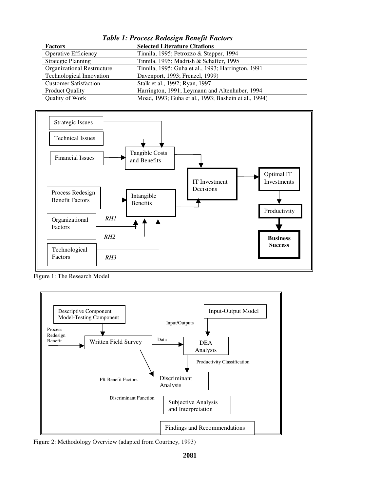*Table 1: Process Redesign Benefit Factors*

| <b>Factors</b>                    | <b>Selected Literature Citations</b>                 |
|-----------------------------------|------------------------------------------------------|
| <b>Operative Efficiency</b>       | Tinnila, 1995; Petrozzo & Stepper, 1994              |
| <b>Strategic Planning</b>         | Tinnila, 1995; Madrish & Schaffer, 1995              |
| <b>Organizational Restructure</b> | Tinnila, 1995; Guha et al., 1993; Harrington, 1991   |
| <b>Technological Innovation</b>   | Davenport, 1993; Frenzel, 1999)                      |
| <b>Customer Satisfaction</b>      | Stalk et al., 1992; Ryan, 1997                       |
| <b>Product Quality</b>            | Harrington, 1991; Leymann and Altenhuber, 1994       |
| Quality of Work                   | Moad, 1993; Guha et al., 1993; Bashein et al., 1994) |



Figure 1: The Research Model



Figure 2: Methodology Overview (adapted from Courtney, 1993)